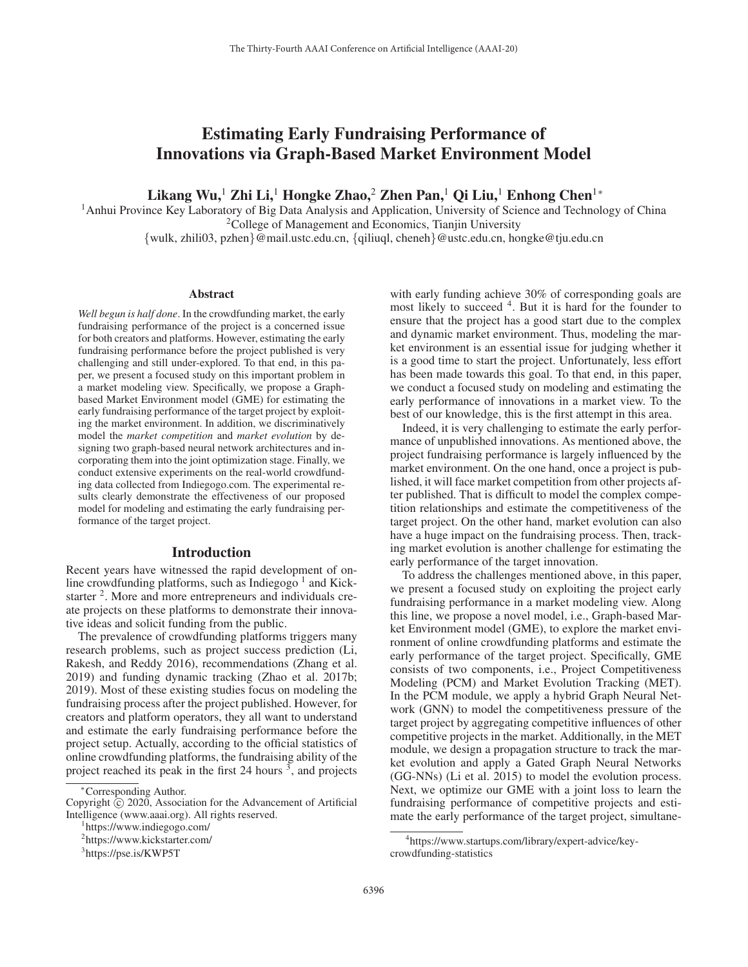# Estimating Early Fundraising Performance of Innovations via Graph-Based Market Environment Model

Likang Wu,<sup>1</sup> Zhi Li,<sup>1</sup> Hongke Zhao,<sup>2</sup> Zhen Pan,<sup>1</sup> Qi Liu,<sup>1</sup> Enhong Chen<sup>1</sup><sup>∗</sup>

<sup>1</sup>Anhui Province Key Laboratory of Big Data Analysis and Application, University of Science and Technology of China <sup>2</sup>College of Management and Economics, Tianjin University

{wulk, zhili03, pzhen}@mail.ustc.edu.cn, {qiliuql, cheneh}@ustc.edu.cn, hongke@tju.edu.cn

#### **Abstract**

*Well begun is half done*. In the crowdfunding market, the early fundraising performance of the project is a concerned issue for both creators and platforms. However, estimating the early fundraising performance before the project published is very challenging and still under-explored. To that end, in this paper, we present a focused study on this important problem in a market modeling view. Specifically, we propose a Graphbased Market Environment model (GME) for estimating the early fundraising performance of the target project by exploiting the market environment. In addition, we discriminatively model the *market competition* and *market evolution* by designing two graph-based neural network architectures and incorporating them into the joint optimization stage. Finally, we conduct extensive experiments on the real-world crowdfunding data collected from Indiegogo.com. The experimental results clearly demonstrate the effectiveness of our proposed model for modeling and estimating the early fundraising performance of the target project.

# Introduction

Recent years have witnessed the rapid development of online crowdfunding platforms, such as Indiegogo  $<sup>1</sup>$  and Kick-</sup> starter <sup>2</sup>. More and more entrepreneurs and individuals create projects on these platforms to demonstrate their innovative ideas and solicit funding from the public.

The prevalence of crowdfunding platforms triggers many research problems, such as project success prediction (Li, Rakesh, and Reddy 2016), recommendations (Zhang et al. 2019) and funding dynamic tracking (Zhao et al. 2017b; 2019). Most of these existing studies focus on modeling the fundraising process after the project published. However, for creators and platform operators, they all want to understand and estimate the early fundraising performance before the project setup. Actually, according to the official statistics of online crowdfunding platforms, the fundraising ability of the project reached its peak in the first 24 hours<sup>3</sup>, and projects

with early funding achieve 30% of corresponding goals are most likely to succeed 4. But it is hard for the founder to ensure that the project has a good start due to the complex and dynamic market environment. Thus, modeling the market environment is an essential issue for judging whether it is a good time to start the project. Unfortunately, less effort has been made towards this goal. To that end, in this paper, we conduct a focused study on modeling and estimating the early performance of innovations in a market view. To the best of our knowledge, this is the first attempt in this area.

Indeed, it is very challenging to estimate the early performance of unpublished innovations. As mentioned above, the project fundraising performance is largely influenced by the market environment. On the one hand, once a project is published, it will face market competition from other projects after published. That is difficult to model the complex competition relationships and estimate the competitiveness of the target project. On the other hand, market evolution can also have a huge impact on the fundraising process. Then, tracking market evolution is another challenge for estimating the early performance of the target innovation.

To address the challenges mentioned above, in this paper, we present a focused study on exploiting the project early fundraising performance in a market modeling view. Along this line, we propose a novel model, i.e., Graph-based Market Environment model (GME), to explore the market environment of online crowdfunding platforms and estimate the early performance of the target project. Specifically, GME consists of two components, i.e., Project Competitiveness Modeling (PCM) and Market Evolution Tracking (MET). In the PCM module, we apply a hybrid Graph Neural Network (GNN) to model the competitiveness pressure of the target project by aggregating competitive influences of other competitive projects in the market. Additionally, in the MET module, we design a propagation structure to track the market evolution and apply a Gated Graph Neural Networks (GG-NNs) (Li et al. 2015) to model the evolution process. Next, we optimize our GME with a joint loss to learn the fundraising performance of competitive projects and estimate the early performance of the target project, simultane-

<sup>∗</sup>Corresponding Author.

Copyright  $\odot$  2020, Association for the Advancement of Artificial Intelligence (www.aaai.org). All rights reserved.

https://www.indiegogo.com/

<sup>2</sup> https://www.kickstarter.com/

<sup>3</sup> https://pse.is/KWP5T

<sup>4</sup> https://www.startups.com/library/expert-advice/keycrowdfunding-statistics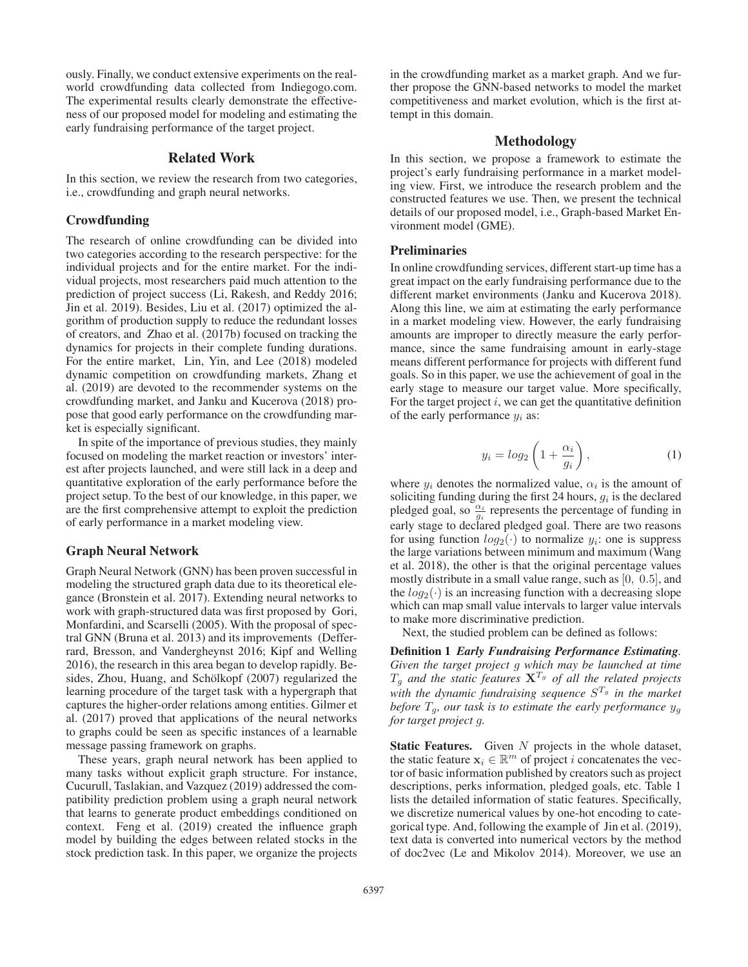ously. Finally, we conduct extensive experiments on the realworld crowdfunding data collected from Indiegogo.com. The experimental results clearly demonstrate the effectiveness of our proposed model for modeling and estimating the early fundraising performance of the target project.

#### Related Work

In this section, we review the research from two categories, i.e., crowdfunding and graph neural networks.

## Crowdfunding

The research of online crowdfunding can be divided into two categories according to the research perspective: for the individual projects and for the entire market. For the individual projects, most researchers paid much attention to the prediction of project success (Li, Rakesh, and Reddy 2016; Jin et al. 2019). Besides, Liu et al. (2017) optimized the algorithm of production supply to reduce the redundant losses of creators, and Zhao et al. (2017b) focused on tracking the dynamics for projects in their complete funding durations. For the entire market, Lin, Yin, and Lee (2018) modeled dynamic competition on crowdfunding markets, Zhang et al. (2019) are devoted to the recommender systems on the crowdfunding market, and Janku and Kucerova (2018) propose that good early performance on the crowdfunding market is especially significant.

In spite of the importance of previous studies, they mainly focused on modeling the market reaction or investors' interest after projects launched, and were still lack in a deep and quantitative exploration of the early performance before the project setup. To the best of our knowledge, in this paper, we are the first comprehensive attempt to exploit the prediction of early performance in a market modeling view.

# Graph Neural Network

Graph Neural Network (GNN) has been proven successful in modeling the structured graph data due to its theoretical elegance (Bronstein et al. 2017). Extending neural networks to work with graph-structured data was first proposed by Gori, Monfardini, and Scarselli (2005). With the proposal of spectral GNN (Bruna et al. 2013) and its improvements (Defferrard, Bresson, and Vandergheynst 2016; Kipf and Welling 2016), the research in this area began to develop rapidly. Besides, Zhou, Huang, and Schölkopf (2007) regularized the learning procedure of the target task with a hypergraph that captures the higher-order relations among entities. Gilmer et al. (2017) proved that applications of the neural networks to graphs could be seen as specific instances of a learnable message passing framework on graphs.

These years, graph neural network has been applied to many tasks without explicit graph structure. For instance, Cucurull, Taslakian, and Vazquez (2019) addressed the compatibility prediction problem using a graph neural network that learns to generate product embeddings conditioned on context. Feng et al. (2019) created the influence graph model by building the edges between related stocks in the stock prediction task. In this paper, we organize the projects

in the crowdfunding market as a market graph. And we further propose the GNN-based networks to model the market competitiveness and market evolution, which is the first attempt in this domain.

# Methodology

In this section, we propose a framework to estimate the project's early fundraising performance in a market modeling view. First, we introduce the research problem and the constructed features we use. Then, we present the technical details of our proposed model, i.e., Graph-based Market Environment model (GME).

#### **Preliminaries**

In online crowdfunding services, different start-up time has a great impact on the early fundraising performance due to the different market environments (Janku and Kucerova 2018). Along this line, we aim at estimating the early performance in a market modeling view. However, the early fundraising amounts are improper to directly measure the early performance, since the same fundraising amount in early-stage means different performance for projects with different fund goals. So in this paper, we use the achievement of goal in the early stage to measure our target value. More specifically, For the target project  $i$ , we can get the quantitative definition of the early performance  $y_i$  as:

$$
y_i = \log_2\left(1 + \frac{\alpha_i}{g_i}\right),\tag{1}
$$

where  $y_i$  denotes the normalized value,  $\alpha_i$  is the amount of soliciting funding during the first 24 hours  $\alpha_i$  is the declared soliciting funding during the first 24 hours,  $g_i$  is the declared pledged goal, so  $\frac{\alpha_i}{g_i}$  represents the percentage of funding in early stage to declared pledged goal. There are two reasons for using function  $log_2(\cdot)$  to normalize  $y_i$ : one is suppress the large variations between minimum and maximum (Wang et al. 2018), the other is that the original percentage values mostly distribute in a small value range, such as [0, <sup>0</sup>.5], and the  $log_2(\cdot)$  is an increasing function with a decreasing slope which can map small value intervals to larger value intervals to make more discriminative prediction.

Next, the studied problem can be defined as follows:

Definition 1 *Early Fundraising Performance Estimating. Given the target project* g *which may be launched at time*  $T_g$  and the static features  $X^{T_g}$  of all the related projects *with the dynamic fundraising sequence* S<sup>T</sup>*<sup>g</sup> in the market before*  $T_q$ *, our task is to estimate the early performance*  $y_q$ *for target project* g*.*

**Static Features.** Given  $N$  projects in the whole dataset, the static feature  $\mathbf{x}_i \in \mathbb{R}^m$  of project i concatenates the vector of basic information published by creators such as project descriptions, perks information, pledged goals, etc. Table 1 lists the detailed information of static features. Specifically, we discretize numerical values by one-hot encoding to categorical type. And, following the example of Jin et al. (2019), text data is converted into numerical vectors by the method of doc2vec (Le and Mikolov 2014). Moreover, we use an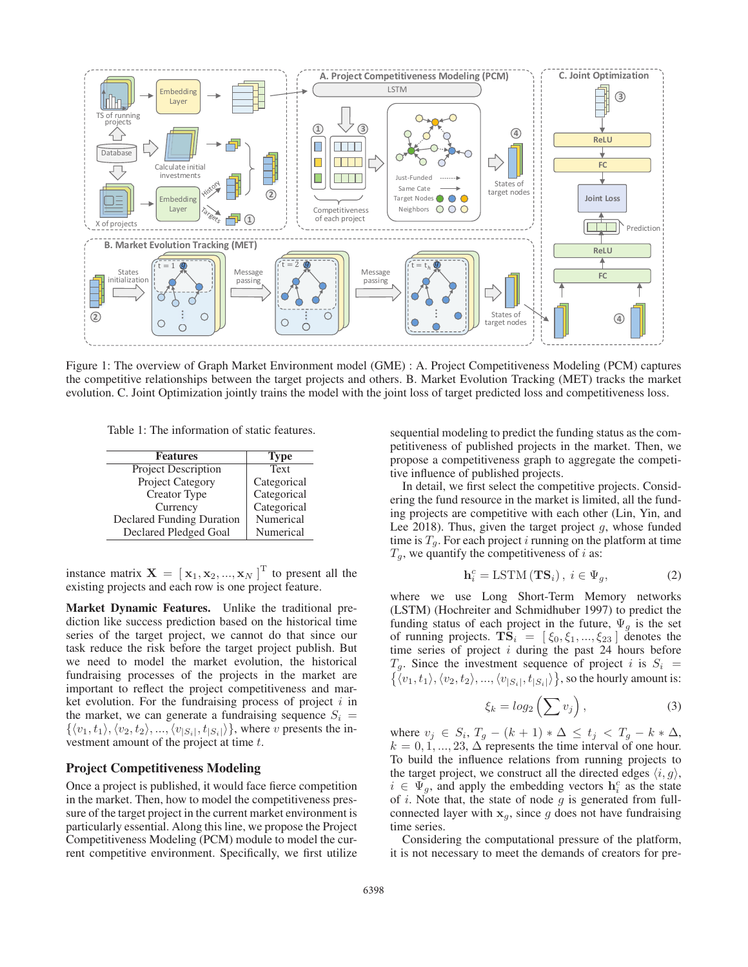

Figure 1: The overview of Graph Market Environment model (GME) : A. Project Competitiveness Modeling (PCM) captures the competitive relationships between the target projects and others. B. Market Evolution Tracking (MET) tracks the market evolution. C. Joint Optimization jointly trains the model with the joint loss of target predicted loss and competitiveness loss.

Table 1: The information of static features.

| <b>Features</b>                  | <b>Type</b> |
|----------------------------------|-------------|
| <b>Project Description</b>       | Text        |
| Project Category                 | Categorical |
| Creator Type                     | Categorical |
| Currency                         | Categorical |
| <b>Declared Funding Duration</b> | Numerical   |
| Declared Pledged Goal            | Numerical   |

instance matrix  $\mathbf{X} = [\mathbf{x}_1, \mathbf{x}_2, ..., \mathbf{x}_N]^T$  to present all the existing projects and each row is one project feature existing projects and each row is one project feature.

Market Dynamic Features. Unlike the traditional prediction like success prediction based on the historical time series of the target project, we cannot do that since our task reduce the risk before the target project publish. But we need to model the market evolution, the historical fundraising processes of the projects in the market are important to reflect the project competitiveness and market evolution. For the fundraising process of project  $i$  in the market, we can generate a fundraising sequence  $S_i$  =  $\{\langle v_1, t_1 \rangle, \langle v_2, t_2 \rangle, ..., \langle v_{|S_i|}, t_{|S_i|} \rangle\}$ , where v presents the investment amount of the project at time t.

### Project Competitiveness Modeling

Once a project is published, it would face fierce competition in the market. Then, how to model the competitiveness pressure of the target project in the current market environment is particularly essential. Along this line, we propose the Project Competitiveness Modeling (PCM) module to model the current competitive environment. Specifically, we first utilize sequential modeling to predict the funding status as the competitiveness of published projects in the market. Then, we propose a competitiveness graph to aggregate the competitive influence of published projects.

In detail, we first select the competitive projects. Considering the fund resource in the market is limited, all the funding projects are competitive with each other (Lin, Yin, and Lee 2018). Thus, given the target project  $g$ , whose funded time is  $T<sub>g</sub>$ . For each project i running on the platform at time  $T<sub>g</sub>$ , we quantify the competitiveness of *i* as:

$$
\mathbf{h}_{i}^{c} = \text{LSTM}(\mathbf{TS}_{i}), \ i \in \Psi_{g}, \tag{2}
$$

where we use Long Short-Term Memory networks (LSTM) (Hochreiter and Schmidhuber 1997) to predict the funding status of each project in the future,  $\Psi_g$  is the set of running projects.  $\mathbf{T}S_i = [\xi_0, \xi_1, ..., \xi_{23}]$  denotes the time series of project *i* during the past 24 hours before time series of project i during the past 24 hours before  $T<sub>z</sub>$ . Since the investment sequence of project i is  $S<sub>z</sub>$ .  $T_g$ . Since the investment sequence of project *i* is  $S_i = \{\langle v_1, t_1 \rangle, \langle v_2, t_2 \rangle, ..., \langle v_{|S_i|}, t_{|S_i|} \rangle\}$ , so the hourly amount is:  $\langle v_1, t_1 \rangle, \langle v_2, t_2 \rangle, ..., \langle v_{|S_i|}, t_{|S_i|} \rangle$ , so the hourly amount is:

$$
\xi_k = \log_2\left(\sum v_j\right),\tag{3}
$$

where  $v_j \in S_i$ ,  $T_q - (k+1) * \Delta \le t_j < T_q - k * \Delta$ ,  $k = 0, 1, ..., 23, \Delta$  represents the time interval of one hour. To build the influence relations from running projects to the target project, we construct all the directed edges  $\langle i, g \rangle$ ,  $i \in \Psi_g$ , and apply the embedding vectors  $\mathbf{h}_i^c$  as the state of *i*. Note that the state of node *a* is generated from fullof  $i$ . Note that, the state of node  $g$  is generated from fullconnected layer with  $x_g$ , since g does not have fundraising time series.

Considering the computational pressure of the platform, it is not necessary to meet the demands of creators for pre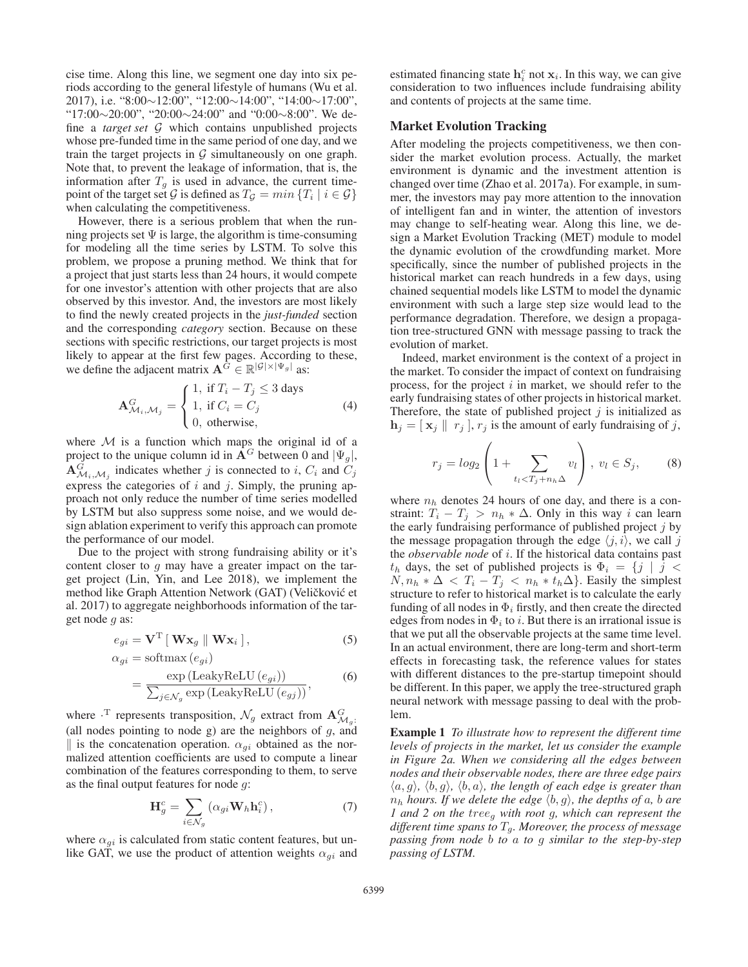cise time. Along this line, we segment one day into six periods according to the general lifestyle of humans (Wu et al. 2017), i.e. "8:00∼12:00", "12:00∼14:00", "14:00∼17:00", "17:00∼20:00", "20:00∼24:00" and "0:00∼8:00". We define a *target set* G which contains unpublished projects whose pre-funded time in the same period of one day, and we train the target projects in  $G$  simultaneously on one graph. Note that, to prevent the leakage of information, that is, the information after  $T<sub>g</sub>$  is used in advance, the current timepoint of the target set G is defined as  $T_g = min \{T_i | i \in G\}$ when calculating the competitiveness.

However, there is a serious problem that when the running projects set  $\Psi$  is large, the algorithm is time-consuming for modeling all the time series by LSTM. To solve this problem, we propose a pruning method. We think that for a project that just starts less than 24 hours, it would compete for one investor's attention with other projects that are also observed by this investor. And, the investors are most likely to find the newly created projects in the *just-funded* section and the corresponding *category* section. Because on these sections with specific restrictions, our target projects is most likely to appear at the first few pages. According to these, we define the adjacent matrix  $\mathbf{A}^G \in \mathbb{R}^{|\mathcal{G}| \times |\Psi_g|}$  as:

$$
\mathbf{A}_{\mathcal{M}_i,\mathcal{M}_j}^G = \begin{cases} 1, & \text{if } T_i - T_j \le 3 \text{ days} \\ 1, & \text{if } C_i = C_j \\ 0, & \text{otherwise,} \end{cases}
$$
(4)

where  $M$  is a function which maps the original id of a project to the unique column id in  $A^G$  between 0 and  $|\Psi_g|$ ,  $\mathbf{A}_{\mathcal{M}_i,\mathcal{M}_j}^G$  indicates whether j is connected to i,  $C_i$  and  $C_j$ <br>express the categories of i and i. Simply, the pruning ap express the categories of  $i$  and  $j$ . Simply, the pruning approach not only reduce the number of time series modelled by LSTM but also suppress some noise, and we would design ablation experiment to verify this approach can promote the performance of our model.

Due to the project with strong fundraising ability or it's content closer to  $q$  may have a greater impact on the target project (Lin, Yin, and Lee 2018), we implement the method like Graph Attention Network (GAT) (Veličković et al. 2017) to aggregate neighborhoods information of the target node g as:

$$
e_{gi} = \mathbf{V}^{\mathrm{T}} \left[ \mathbf{W} \mathbf{x}_g \parallel \mathbf{W} \mathbf{x}_i \right],\tag{5}
$$

$$
\alpha_{gi} = \text{softmax}(e_{gi})
$$
  
= 
$$
\frac{\exp(\text{LeakyReLU}(e_{gi}))}{\sum_{j \in \mathcal{N}_g} \exp(\text{LeakyReLU}(e_{gj}))},
$$
 (6)

where  $\cdot^T$  represents transposition,  $\mathcal{N}_g$  extract from  $\mathbf{A}_{\mathcal{M}_g}^G$ . (all nodes pointing to node g) are the neighbors of  $g$ , and || is the concatenation operation.  $\alpha_{qi}$  obtained as the normalized attention coefficients are used to compute a linear combination of the features corresponding to them, to serve as the final output features for node g:

$$
\mathbf{H}_g^c = \sum_{i \in \mathcal{N}_g} \left( \alpha_{gi} \mathbf{W}_h \mathbf{h}_i^c \right),\tag{7}
$$

where  $\alpha_{qi}$  is calculated from static content features, but unlike GAT, we use the product of attention weights  $\alpha_{qi}$  and

estimated financing state  $\mathbf{h}_i^c$  not  $\mathbf{x}_i$ . In this way, we can give consideration to two influences include fundraising ability consideration to two influences include fundraising ability and contents of projects at the same time.

# Market Evolution Tracking

After modeling the projects competitiveness, we then consider the market evolution process. Actually, the market environment is dynamic and the investment attention is changed over time (Zhao et al. 2017a). For example, in summer, the investors may pay more attention to the innovation of intelligent fan and in winter, the attention of investors may change to self-heating wear. Along this line, we design a Market Evolution Tracking (MET) module to model the dynamic evolution of the crowdfunding market. More specifically, since the number of published projects in the historical market can reach hundreds in a few days, using chained sequential models like LSTM to model the dynamic environment with such a large step size would lead to the performance degradation. Therefore, we design a propagation tree-structured GNN with message passing to track the evolution of market.

Indeed, market environment is the context of a project in the market. To consider the impact of context on fundraising process, for the project  $i$  in market, we should refer to the early fundraising states of other projects in historical market. Therefore, the state of published project  $j$  is initialized as  $\mathbf{h}_j = [\mathbf{x}_j \mid r_j], r_j$  is the amount of early fundraising of j,

$$
r_j = \log_2\left(1 + \sum_{t_l < T_j + n_h \Delta} v_l\right), \ v_l \in S_j,\tag{8}
$$

where  $n_h$  denotes 24 hours of one day, and there is a constraint:  $T_i - T_j > n_h * \Delta$ . Only in this way i can learn the early fundraising performance of published project  $j$  by the message propagation through the edge  $\langle j, i \rangle$ , we call j the *observable node* of i. If the historical data contains past  $t_h$  days, the set of published projects is  $\Phi_i = \{j \mid j \leq 1\}$  $N, n_h * \Delta < T_i - T_j < n_h * t_h \Delta$ . Easily the simplest structure to refer to historical market is to calculate the early funding of all nodes in  $\Phi_i$  firstly, and then create the directed edges from nodes in  $\Phi_i$  to i. But there is an irrational issue is that we put all the observable projects at the same time level. In an actual environment, there are long-term and short-term effects in forecasting task, the reference values for states with different distances to the pre-startup timepoint should be different. In this paper, we apply the tree-structured graph neural network with message passing to deal with the problem.

Example 1 *To illustrate how to represent the different time levels of projects in the market, let us consider the example in Figure 2a. When we considering all the edges between nodes and their observable nodes, there are three edge pairs*  $(a, g), \langle b, g \rangle$ ,  $\langle b, a \rangle$ , the length of each edge is greater than  $n_h$  *hours. If we delete the edge*  $\langle b, g \rangle$ *, the depths of a, b are 1 and 2 on the* treeg *with root* <sup>g</sup>*, which can represent the different time spans to* <sup>T</sup>g*. Moreover, the process of message passing from node* b *to* a *to* g *similar to the step-by-step passing of LSTM.*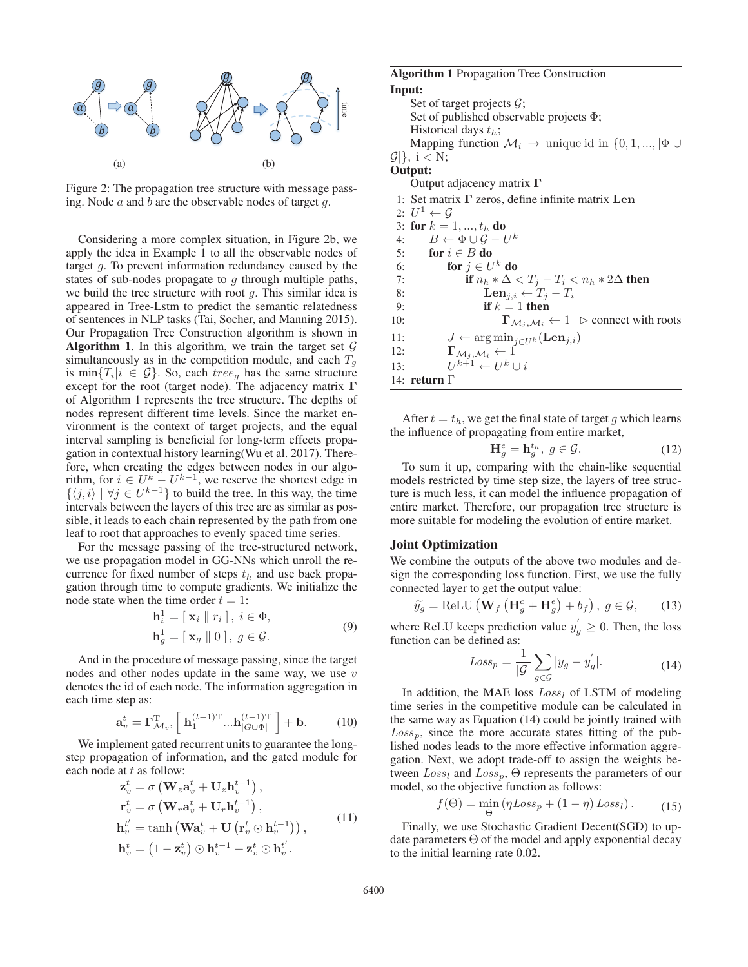

Figure 2: The propagation tree structure with message passing. Node  $a$  and  $b$  are the observable nodes of target  $q$ .

Considering a more complex situation, in Figure 2b, we apply the idea in Example 1 to all the observable nodes of target g. To prevent information redundancy caused by the states of sub-nodes propagate to  $q$  through multiple paths, we build the tree structure with root  $q$ . This similar idea is appeared in Tree-Lstm to predict the semantic relatedness of sentences in NLP tasks (Tai, Socher, and Manning 2015). Our Propagation Tree Construction algorithm is shown in **Algorithm 1.** In this algorithm, we train the target set  $\mathcal{G}$ simultaneously as in the competition module, and each  $T<sub>g</sub>$ is min $\{T_i|i \in \mathcal{G}\}\$ . So, each  $tree_g$  has the same structure except for the root (target node). The adjacency matrix **Γ** of Algorithm 1 represents the tree structure. The depths of nodes represent different time levels. Since the market environment is the context of target projects, and the equal interval sampling is beneficial for long-term effects propagation in contextual history learning(Wu et al. 2017). Therefore, when creating the edges between nodes in our algorithm, for  $i \in U^k - U^{k-1}$ , we reserve the shortest edge in  $\{ \langle i, j \rangle | \forall i \in U^{k-1} \}$  to build the tree. In this way, the time  $\{\langle j, i \rangle \mid \forall j \in U^{k-1}\}\$  to build the tree. In this way, the time intervals between the layers of this tree are as similar as posintervals between the layers of this tree are as similar as possible, it leads to each chain represented by the path from one leaf to root that approaches to evenly spaced time series.

For the message passing of the tree-structured network, we use propagation model in GG-NNs which unroll the recurrence for fixed number of steps  $t<sub>h</sub>$  and use back propagation through time to compute gradients. We initialize the node state when the time order  $t = 1$ :

$$
\mathbf{h}_{i}^{1} = [\mathbf{x}_{i} \parallel r_{i}], i \in \Phi,
$$
  
\n
$$
\mathbf{h}_{g}^{1} = [\mathbf{x}_{g} \parallel 0], g \in \mathcal{G}.
$$
\n(9)

And in the procedure of message passing, since the target nodes and other nodes update in the same way, we use  $v$ denotes the id of each node. The information aggregation in each time step as:

$$
\mathbf{a}_{v}^{t} = \boldsymbol{\Gamma}_{\mathcal{M}_{v}}^{\mathrm{T}} \left[ \ \mathbf{h}_{1}^{(t-1)\mathrm{T}} \ldots \mathbf{h}_{|G \cup \Phi|}^{(t-1)\mathrm{T}} \ \right] + \mathbf{b}.
$$
 (10)

We implement gated recurrent units to guarantee the longstep propagation of information, and the gated module for each node at  $t$  as follow:

$$
\mathbf{z}_v^t = \sigma \left( \mathbf{W}_z \mathbf{a}_v^{t} + \mathbf{U}_z \mathbf{h}_v^{t-1} \right),
$$
  
\n
$$
\mathbf{r}_v^t = \sigma \left( \mathbf{W}_r \mathbf{a}_v^{t} + \mathbf{U}_r \mathbf{h}_v^{t-1} \right),
$$
  
\n
$$
\mathbf{h}_v^{t'} = \tanh \left( \mathbf{W} \mathbf{a}_v^{t} + \mathbf{U} \left( \mathbf{r}_v^{t} \odot \mathbf{h}_v^{t-1} \right) \right),
$$
  
\n
$$
\mathbf{h}_v^t = \left( 1 - \mathbf{z}_v^t \right) \odot \mathbf{h}_v^{t-1} + \mathbf{z}_v^t \odot \mathbf{h}_v^{t'}.
$$
 (11)

# Algorithm 1 Propagation Tree Construction Input: Set of target projects  $\mathcal{G}$ ; Set of published observable projects Φ; Historical days  $t_h$ ; Mapping function  $\mathcal{M}_i \to \text{unique id in } \{0, 1, ..., |\Phi| \cup \Phi\}$  $\mathcal{G}$ |}, i < N; Output: Output adjacency matrix **Γ** 1: Set matrix **Γ** zeros, define infinite matrix **Len** 2:  $U^1 \leftarrow \mathcal{G}$ 3: for  $k = 1, ..., t_h$  do<br>4:  $B \leftarrow \Phi \cup G - U$ 4:  $B \leftarrow \Phi \cup \mathcal{G} - U^k$ <br>5: **for**  $i \in B$  **do** 5: for  $i \in B$  do<br>6: for  $j \in U$ 6: **for**  $j \in U^k$  **do**<br>7: **if**  $n_h * \Delta$ 7: if  $n_h * \Delta < T_j - T_i < n_h * 2\Delta$  then<br>8. Len 8: **Len**<sub>j,i</sub> ←  $T_j - T_i$ <br>9. **if**  $k = 1$  then 9: **if**  $k = 1$  then<br>10:  $\Gamma_{\mathcal{M}_i, \mathcal{M}_i}$ 10:  $\Gamma_{\mathcal{M}_j, \mathcal{M}_i} \leftarrow 1 \triangleright \text{connect with roots}$ 11:  $J \leftarrow \arg \min_{j \in U^k} (\mathbf{Len}_{j,i})$ <br>12:  $\Gamma_{M_i, M_i} \leftarrow 1$ 12:  $\Gamma_{\mathcal{M}_j, \mathcal{M}_i} \leftarrow \tilde{1}$ <br>13:  $U^{k+1} \leftarrow U^k$  $U^{k+1} \leftarrow U^k \cup i$ 14: return Γ

After  $t = t<sub>h</sub>$ , we get the final state of target g which learns the influence of propagating from entire market,

$$
\mathbf{H}_q^e = \mathbf{h}_q^{t_h}, \ g \in \mathcal{G}.\tag{12}
$$

 $H_g^e = h_g^{t_h}, g \in \mathcal{G}.$  (12)<br>To sum it up, comparing with the chain-like sequential models restricted by time step size, the layers of tree structure is much less, it can model the influence propagation of entire market. Therefore, our propagation tree structure is more suitable for modeling the evolution of entire market.

#### Joint Optimization

We combine the outputs of the above two modules and design the corresponding loss function. First, we use the fully connected layer to get the output value:

$$
\widetilde{y_g} = \text{ReLU}\left(\mathbf{W}_f\left(\mathbf{H}_g^c + \mathbf{H}_g^e\right) + b_f\right), \ g \in \mathcal{G},\qquad(13)
$$

where ReLU keeps prediction value  $y'_g \ge 0$ . Then, the loss function can be defined as: function can be defined as:

$$
Loss_p = \frac{1}{|\mathcal{G}|} \sum_{g \in \mathcal{G}} |y_g - y'_g|.
$$
 (14)

In addition, the MAE loss  $Loss_l$  of LSTM of modeling<br>as series in the competitive module can be calculated in time series in the competitive module can be calculated in the same way as Equation (14) could be jointly trained with  $Loss_n$ , since the more accurate states fitting of the published nodes leads to the more effective information aggregation. Next, we adopt trade-off to assign the weights between  $Loss_l$  and  $Loss_n$ ,  $\Theta$  represents the parameters of our model, so the objective function as follows:

$$
f(\Theta) = \min_{\Theta} \left( \eta \text{Loss}_p + (1 - \eta) \text{Loss}_l \right). \tag{15}
$$

Finally, we use Stochastic Gradient Decent(SGD) to update parameters Θ of the model and apply exponential decay to the initial learning rate 0.02.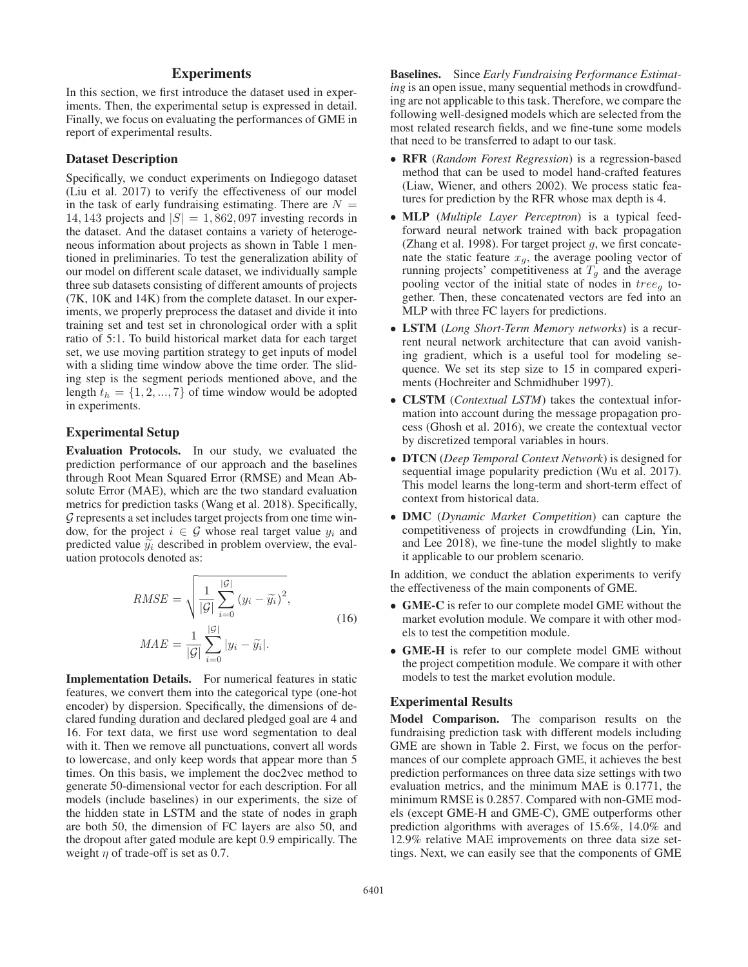# **Experiments**

In this section, we first introduce the dataset used in experiments. Then, the experimental setup is expressed in detail. Finally, we focus on evaluating the performances of GME in report of experimental results.

#### Dataset Description

Specifically, we conduct experiments on Indiegogo dataset (Liu et al. 2017) to verify the effectiveness of our model in the task of early fundraising estimating. There are  $N =$ 14, 143 projects and  $|S| = 1,862,097$  investing records in the dataset. And the dataset contains a variety of heterogeneous information about projects as shown in Table 1 mentioned in preliminaries. To test the generalization ability of our model on different scale dataset, we individually sample three sub datasets consisting of different amounts of projects (7K, 10K and 14K) from the complete dataset. In our experiments, we properly preprocess the dataset and divide it into training set and test set in chronological order with a split ratio of 5:1. To build historical market data for each target set, we use moving partition strategy to get inputs of model with a sliding time window above the time order. The sliding step is the segment periods mentioned above, and the length  $t_h = \{1, 2, ..., 7\}$  of time window would be adopted in experiments.

### Experimental Setup

Evaluation Protocols. In our study, we evaluated the prediction performance of our approach and the baselines through Root Mean Squared Error (RMSE) and Mean Absolute Error (MAE), which are the two standard evaluation metrics for prediction tasks (Wang et al. 2018). Specifically, G represents a set includes target projects from one time window, for the project  $i \in \mathcal{G}$  whose real target value  $y_i$  and predicted value  $\tilde{y}_i$  described in problem overview, the evaluation protocols denoted as:

$$
RMSE = \sqrt{\frac{1}{|\mathcal{G}|} \sum_{i=0}^{|\mathcal{G}|} (y_i - \tilde{y}_i)^2},
$$
  

$$
MAE = \frac{1}{|\mathcal{G}|} \sum_{i=0}^{|\mathcal{G}|} |y_i - \tilde{y}_i|.
$$
 (16)

Implementation Details. For numerical features in static features, we convert them into the categorical type (one-hot encoder) by dispersion. Specifically, the dimensions of declared funding duration and declared pledged goal are 4 and 16. For text data, we first use word segmentation to deal with it. Then we remove all punctuations, convert all words to lowercase, and only keep words that appear more than 5 times. On this basis, we implement the doc2vec method to generate 50-dimensional vector for each description. For all models (include baselines) in our experiments, the size of the hidden state in LSTM and the state of nodes in graph are both 50, the dimension of FC layers are also 50, and the dropout after gated module are kept 0.9 empirically. The weight  $\eta$  of trade-off is set as 0.7.

Baselines. Since *Early Fundraising Performance Estimating* is an open issue, many sequential methods in crowdfunding are not applicable to this task. Therefore, we compare the following well-designed models which are selected from the most related research fields, and we fine-tune some models that need to be transferred to adapt to our task.

- RFR (*Random Forest Regression*) is a regression-based method that can be used to model hand-crafted features (Liaw, Wiener, and others 2002). We process static features for prediction by the RFR whose max depth is 4.
- MLP (*Multiple Layer Perceptron*) is a typical feedforward neural network trained with back propagation (Zhang et al. 1998). For target project  $q$ , we first concatenate the static feature  $x_g$ , the average pooling vector of running projects' competitiveness at  $T_g$  and the average pooling vector of the initial state of nodes in  $tree<sub>q</sub>$  together. Then, these concatenated vectors are fed into an MLP with three FC layers for predictions.
- LSTM (*Long Short-Term Memory networks*) is a recurrent neural network architecture that can avoid vanishing gradient, which is a useful tool for modeling sequence. We set its step size to 15 in compared experiments (Hochreiter and Schmidhuber 1997).
- CLSTM (*Contextual LSTM*) takes the contextual information into account during the message propagation process (Ghosh et al. 2016), we create the contextual vector by discretized temporal variables in hours.
- DTCN (*Deep Temporal Context Network*) is designed for sequential image popularity prediction (Wu et al. 2017). This model learns the long-term and short-term effect of context from historical data.
- DMC (*Dynamic Market Competition*) can capture the competitiveness of projects in crowdfunding (Lin, Yin, and Lee 2018), we fine-tune the model slightly to make it applicable to our problem scenario.

In addition, we conduct the ablation experiments to verify the effectiveness of the main components of GME.

- GME-C is refer to our complete model GME without the market evolution module. We compare it with other models to test the competition module.
- GME-H is refer to our complete model GME without the project competition module. We compare it with other models to test the market evolution module.

## Experimental Results

Model Comparison. The comparison results on the fundraising prediction task with different models including GME are shown in Table 2. First, we focus on the performances of our complete approach GME, it achieves the best prediction performances on three data size settings with two evaluation metrics, and the minimum MAE is 0.1771, the minimum RMSE is 0.2857. Compared with non-GME models (except GME-H and GME-C), GME outperforms other prediction algorithms with averages of 15.6%, 14.0% and 12.9% relative MAE improvements on three data size settings. Next, we can easily see that the components of GME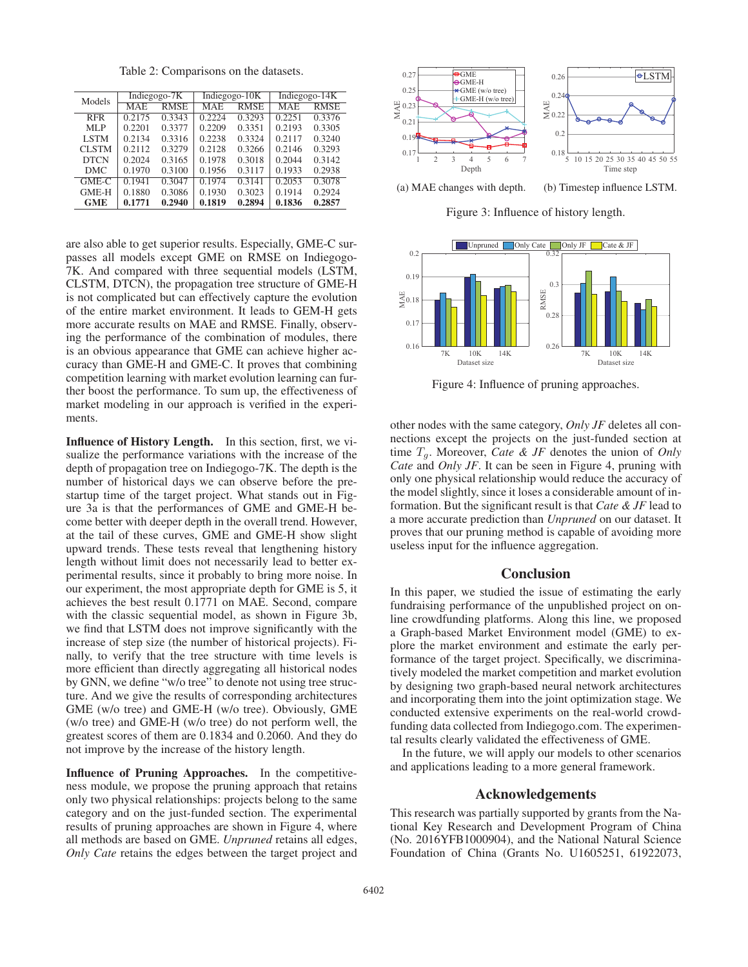Table 2: Comparisons on the datasets.

| Models       | Indiegogo-7K |             | Indiegogo-10K |             | Indiegogo-14K   |             |
|--------------|--------------|-------------|---------------|-------------|-----------------|-------------|
|              | MAE          | <b>RMSE</b> | MAE           | <b>RMSE</b> | MAE             | <b>RMSE</b> |
| <b>RFR</b>   | 0.2175       | 0.3343      | 0.2224        | 0.3293      | $\sqrt{0.2251}$ | 0.3376      |
| MLP          | 0.2201       | 0.3377      | 0.2209        | 0.3351      | 0.2193          | 0.3305      |
| <b>LSTM</b>  | 0.2134       | 0.3316      | 0.2238        | 0.3324      | 0.2117          | 0.3240      |
| <b>CLSTM</b> | 0.2112       | 0.3279      | 0.2128        | 0.3266      | 0.2146          | 0.3293      |
| <b>DTCN</b>  | 0.2024       | 0.3165      | 0.1978        | 0.3018      | 0.2044          | 0.3142      |
| <b>DMC</b>   | 0.1970       | 0.3100      | 0.1956        | 0.3117      | 0.1933          | 0.2938      |
| GME-C        | 0.1941       | 0.3047      | 0.1974        | 0.3141      | 0.2053          | 0.3078      |
| <b>GME-H</b> | 0.1880       | 0.3086      | 0.1930        | 0.3023      | 0.1914          | 0.2924      |
| <b>GME</b>   | 0.1771       | 0.2940      | 0.1819        | 0.2894      | 0.1836          | 0.2857      |

are also able to get superior results. Especially, GME-C surpasses all models except GME on RMSE on Indiegogo-7K. And compared with three sequential models (LSTM, CLSTM, DTCN), the propagation tree structure of GME-H is not complicated but can effectively capture the evolution of the entire market environment. It leads to GEM-H gets more accurate results on MAE and RMSE. Finally, observing the performance of the combination of modules, there is an obvious appearance that GME can achieve higher accuracy than GME-H and GME-C. It proves that combining competition learning with market evolution learning can further boost the performance. To sum up, the effectiveness of market modeling in our approach is verified in the experiments.

Influence of History Length. In this section, first, we visualize the performance variations with the increase of the depth of propagation tree on Indiegogo-7K. The depth is the number of historical days we can observe before the prestartup time of the target project. What stands out in Figure 3a is that the performances of GME and GME-H become better with deeper depth in the overall trend. However, at the tail of these curves, GME and GME-H show slight upward trends. These tests reveal that lengthening history length without limit does not necessarily lead to better experimental results, since it probably to bring more noise. In our experiment, the most appropriate depth for GME is 5, it achieves the best result 0.1771 on MAE. Second, compare with the classic sequential model, as shown in Figure 3b, we find that LSTM does not improve significantly with the increase of step size (the number of historical projects). Finally, to verify that the tree structure with time levels is more efficient than directly aggregating all historical nodes by GNN, we define "w/o tree" to denote not using tree structure. And we give the results of corresponding architectures GME (w/o tree) and GME-H (w/o tree). Obviously, GME (w/o tree) and GME-H (w/o tree) do not perform well, the greatest scores of them are 0.1834 and 0.2060. And they do not improve by the increase of the history length.

Influence of Pruning Approaches. In the competitiveness module, we propose the pruning approach that retains only two physical relationships: projects belong to the same category and on the just-funded section. The experimental results of pruning approaches are shown in Figure 4, where all methods are based on GME. *Unpruned* retains all edges, *Only Cate* retains the edges between the target project and



Figure 3: Influence of history length.



Figure 4: Influence of pruning approaches.

other nodes with the same category, *Only JF* deletes all connections except the projects on the just-funded section at time  $T<sub>g</sub>$ . Moreover, *Cate & JF* denotes the union of *Only Cate* and *Only JF*. It can be seen in Figure 4, pruning with only one physical relationship would reduce the accuracy of the model slightly, since it loses a considerable amount of information. But the significant result is that *Cate & JF* lead to a more accurate prediction than *Unpruned* on our dataset. It proves that our pruning method is capable of avoiding more useless input for the influence aggregation.

### **Conclusion**

In this paper, we studied the issue of estimating the early fundraising performance of the unpublished project on online crowdfunding platforms. Along this line, we proposed a Graph-based Market Environment model (GME) to explore the market environment and estimate the early performance of the target project. Specifically, we discriminatively modeled the market competition and market evolution by designing two graph-based neural network architectures and incorporating them into the joint optimization stage. We conducted extensive experiments on the real-world crowdfunding data collected from Indiegogo.com. The experimental results clearly validated the effectiveness of GME.

In the future, we will apply our models to other scenarios and applications leading to a more general framework.

## Acknowledgements

This research was partially supported by grants from the National Key Research and Development Program of China (No. 2016YFB1000904), and the National Natural Science Foundation of China (Grants No. U1605251, 61922073,